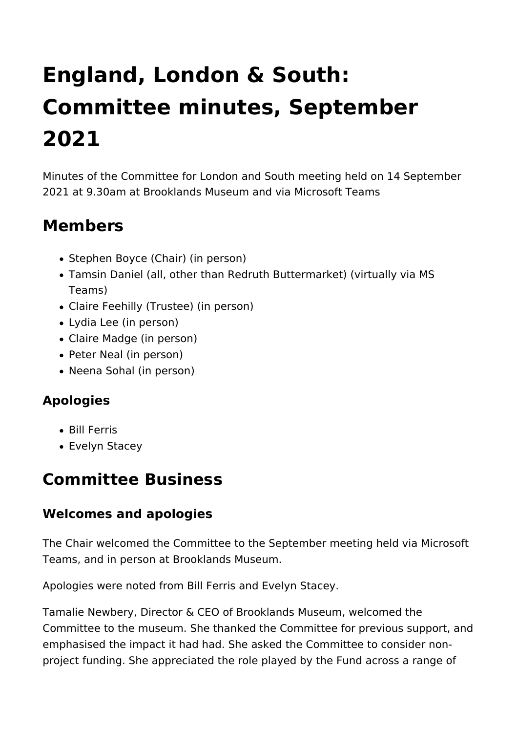# **England, London & South: Committee minutes, September 2021**

Minutes of the Committee for London and South meeting held on 14 September 2021 at 9.30am at Brooklands Museum and via Microsoft Teams

### **Members**

- Stephen Boyce (Chair) (in person)
- Tamsin Daniel (all, other than Redruth Buttermarket) (virtually via MS Teams)
- Claire Feehilly (Trustee) (in person)
- Lydia Lee (in person)
- Claire Madge (in person)
- Peter Neal (in person)
- Neena Sohal (in person)

#### **Apologies**

- Bill Ferris
- Evelyn Stacey

### **Committee Business**

#### **Welcomes and apologies**

The Chair welcomed the Committee to the September meeting held via Microsoft Teams, and in person at Brooklands Museum.

Apologies were noted from Bill Ferris and Evelyn Stacey.

Tamalie Newbery, Director & CEO of Brooklands Museum, welcomed the Committee to the museum. She thanked the Committee for previous support, and emphasised the impact it had had. She asked the Committee to consider nonproject funding. She appreciated the role played by the Fund across a range of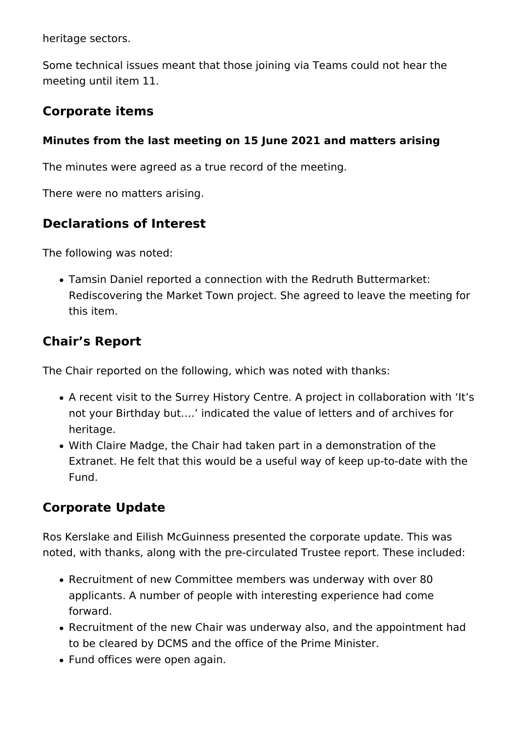heritage sectors.

Some technical issues meant that those joining via Teams could not hear the meeting until item 11.

#### **Corporate items**

#### **Minutes from the last meeting on 15 June 2021 and matters arising**

The minutes were agreed as a true record of the meeting.

There were no matters arising.

#### **Declarations of Interest**

The following was noted:

Tamsin Daniel reported a connection with the Redruth Buttermarket: Rediscovering the Market Town project. She agreed to leave the meeting for this item.

#### **Chair's Report**

The Chair reported on the following, which was noted with thanks:

- A recent visit to the Surrey History Centre. A project in collaboration with 'It's not your Birthday but….' indicated the value of letters and of archives for heritage.
- With Claire Madge, the Chair had taken part in a demonstration of the Extranet. He felt that this would be a useful way of keep up-to-date with the Fund.

#### **Corporate Update**

Ros Kerslake and Eilish McGuinness presented the corporate update. This was noted, with thanks, along with the pre-circulated Trustee report. These included:

- Recruitment of new Committee members was underway with over 80 applicants. A number of people with interesting experience had come forward.
- Recruitment of the new Chair was underway also, and the appointment had to be cleared by DCMS and the office of the Prime Minister.
- Fund offices were open again.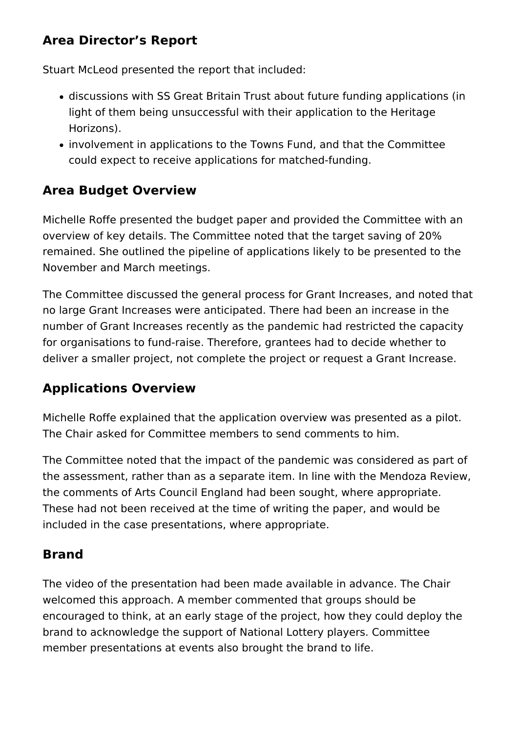#### **Area Director's Report**

Stuart McLeod presented the report that included:

- discussions with SS Great Britain Trust about future funding applications (in light of them being unsuccessful with their application to the Heritage Horizons).
- involvement in applications to the Towns Fund, and that the Committee could expect to receive applications for matched-funding.

#### **Area Budget Overview**

Michelle Roffe presented the budget paper and provided the Committee with an overview of key details. The Committee noted that the target saving of 20% remained. She outlined the pipeline of applications likely to be presented to the November and March meetings.

The Committee discussed the general process for Grant Increases, and noted that no large Grant Increases were anticipated. There had been an increase in the number of Grant Increases recently as the pandemic had restricted the capacity for organisations to fund-raise. Therefore, grantees had to decide whether to deliver a smaller project, not complete the project or request a Grant Increase.

#### **Applications Overview**

Michelle Roffe explained that the application overview was presented as a pilot. The Chair asked for Committee members to send comments to him.

The Committee noted that the impact of the pandemic was considered as part of the assessment, rather than as a separate item. In line with the Mendoza Review, the comments of Arts Council England had been sought, where appropriate. These had not been received at the time of writing the paper, and would be included in the case presentations, where appropriate.

#### **Brand**

The video of the presentation had been made available in advance. The Chair welcomed this approach. A member commented that groups should be encouraged to think, at an early stage of the project, how they could deploy the brand to acknowledge the support of National Lottery players. Committee member presentations at events also brought the brand to life.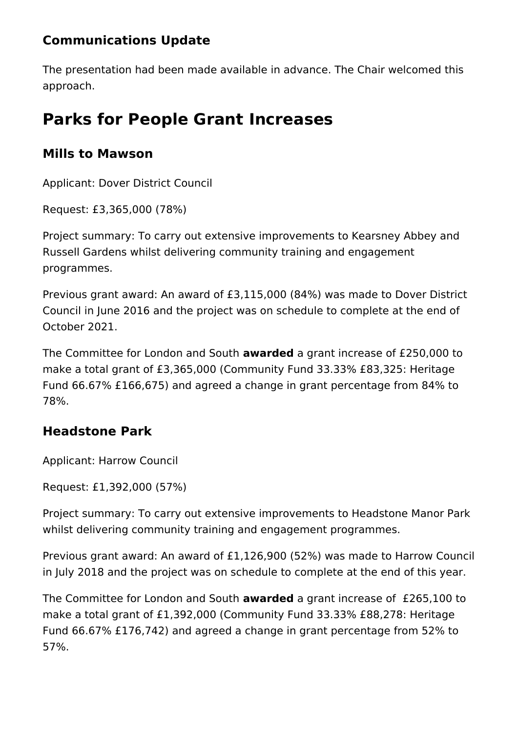#### **Communications Update**

The presentation had been made available in advance. The Chair welcomed this approach.

## **Parks for People Grant Increases**

#### **Mills to Mawson**

Applicant: Dover District Council

Request: £3,365,000 (78%)

Project summary: To carry out extensive improvements to Kearsney Abbey and Russell Gardens whilst delivering community training and engagement programmes.

Previous grant award: An award of £3,115,000 (84%) was made to Dover District Council in June 2016 and the project was on schedule to complete at the end of October 2021.

The Committee for London and South **awarded** a grant increase of £250,000 to make a total grant of £3,365,000 (Community Fund 33.33% £83,325: Heritage Fund 66.67% £166,675) and agreed a change in grant percentage from 84% to 78%.

#### **Headstone Park**

Applicant: Harrow Council

Request: £1,392,000 (57%)

Project summary: To carry out extensive improvements to Headstone Manor Park whilst delivering community training and engagement programmes.

Previous grant award: An award of £1,126,900 (52%) was made to Harrow Council in July 2018 and the project was on schedule to complete at the end of this year.

The Committee for London and South **awarded** a grant increase of £265,100 to make a total grant of £1,392,000 (Community Fund 33.33% £88,278: Heritage Fund 66.67% £176,742) and agreed a change in grant percentage from 52% to 57%.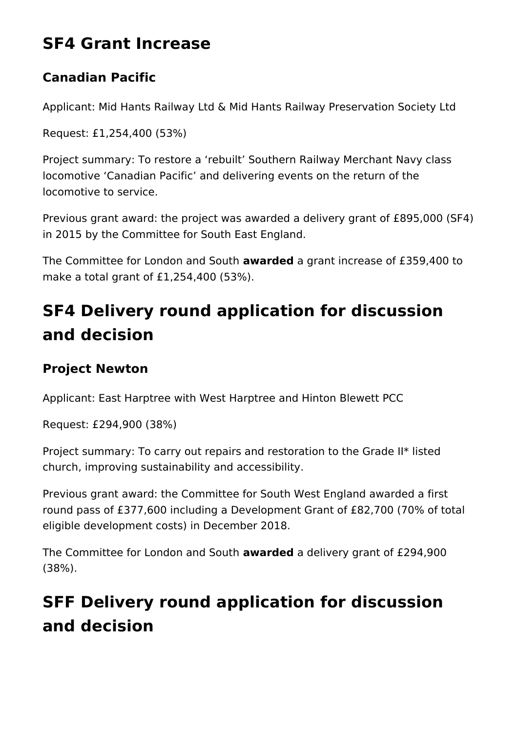### **SF4 Grant Increase**

#### **Canadian Pacific**

Applicant: Mid Hants Railway Ltd & Mid Hants Railway Preservation Society Ltd

Request: £1,254,400 (53%)

Project summary: To restore a 'rebuilt' Southern Railway Merchant Navy class locomotive 'Canadian Pacific' and delivering events on the return of the locomotive to service.

Previous grant award: the project was awarded a delivery grant of £895,000 (SF4) in 2015 by the Committee for South East England.

The Committee for London and South **awarded** a grant increase of £359,400 to make a total grant of £1,254,400 (53%).

# **SF4 Delivery round application for discussion and decision**

#### **Project Newton**

Applicant: East Harptree with West Harptree and Hinton Blewett PCC

Request: £294,900 (38%)

Project summary: To carry out repairs and restoration to the Grade II\* listed church, improving sustainability and accessibility.

Previous grant award: the Committee for South West England awarded a first round pass of £377,600 including a Development Grant of £82,700 (70% of total eligible development costs) in December 2018.

The Committee for London and South **awarded** a delivery grant of £294,900 (38%).

# **SFF Delivery round application for discussion and decision**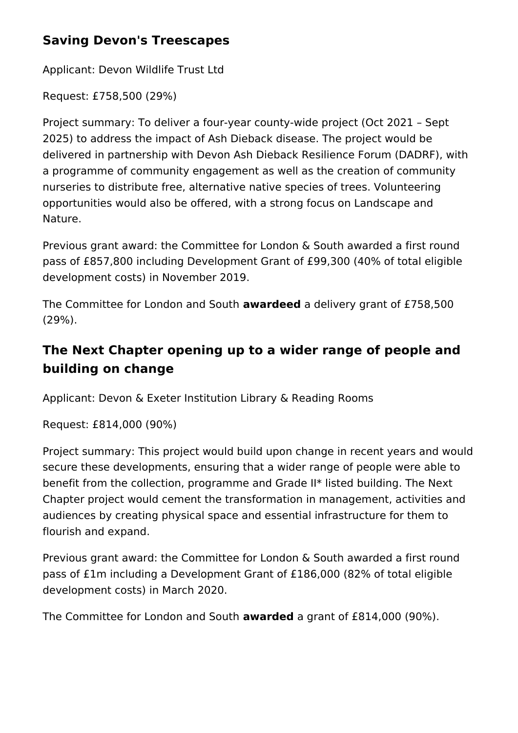#### **Saving Devon's Treescapes**

Applicant: Devon Wildlife Trust Ltd

Request: £758,500 (29%)

Project summary: To deliver a four-year county-wide project (Oct 2021 – Sept 2025) to address the impact of Ash Dieback disease. The project would be delivered in partnership with Devon Ash Dieback Resilience Forum (DADRF), with a programme of community engagement as well as the creation of community nurseries to distribute free, alternative native species of trees. Volunteering opportunities would also be offered, with a strong focus on Landscape and Nature.

Previous grant award: the Committee for London & South awarded a first round pass of £857,800 including Development Grant of £99,300 (40% of total eligible development costs) in November 2019.

The Committee for London and South **awardeed** a delivery grant of £758,500 (29%).

#### **The Next Chapter opening up to a wider range of people and building on change**

Applicant: Devon & Exeter Institution Library & Reading Rooms

Request: £814,000 (90%)

Project summary: This project would build upon change in recent years and would secure these developments, ensuring that a wider range of people were able to benefit from the collection, programme and Grade II\* listed building. The Next Chapter project would cement the transformation in management, activities and audiences by creating physical space and essential infrastructure for them to flourish and expand.

Previous grant award: the Committee for London & South awarded a first round pass of £1m including a Development Grant of £186,000 (82% of total eligible development costs) in March 2020.

The Committee for London and South **awarded** a grant of £814,000 (90%).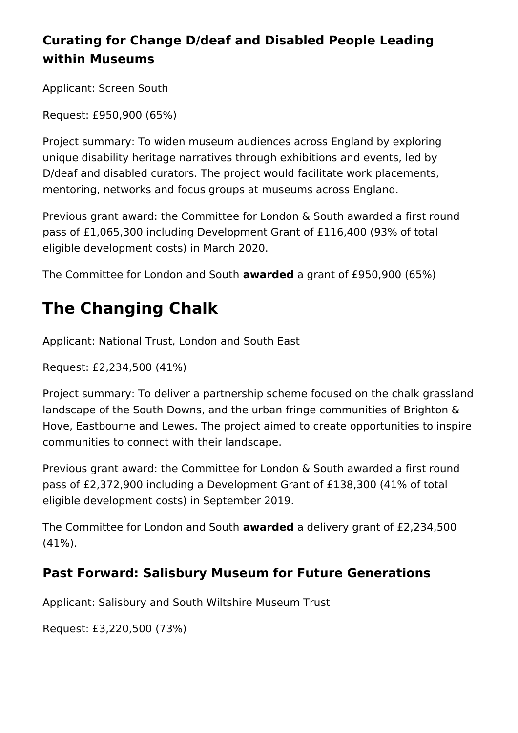#### **Curating for Change D/deaf and Disabled People Leading within Museums**

Applicant: Screen South

Request: £950,900 (65%)

Project summary: To widen museum audiences across England by exploring unique disability heritage narratives through exhibitions and events, led by D/deaf and disabled curators. The project would facilitate work placements, mentoring, networks and focus groups at museums across England.

Previous grant award: the Committee for London & South awarded a first round pass of £1,065,300 including Development Grant of £116,400 (93% of total eligible development costs) in March 2020.

The Committee for London and South **awarded** a grant of £950,900 (65%)

# **The Changing Chalk**

Applicant: National Trust, London and South East

Request: £2,234,500 (41%)

Project summary: To deliver a partnership scheme focused on the chalk grassland landscape of the South Downs, and the urban fringe communities of Brighton & Hove, Eastbourne and Lewes. The project aimed to create opportunities to inspire communities to connect with their landscape.

Previous grant award: the Committee for London & South awarded a first round pass of £2,372,900 including a Development Grant of £138,300 (41% of total eligible development costs) in September 2019.

The Committee for London and South **awarded** a delivery grant of £2,234,500 (41%).

#### **Past Forward: Salisbury Museum for Future Generations**

Applicant: Salisbury and South Wiltshire Museum Trust

Request: £3,220,500 (73%)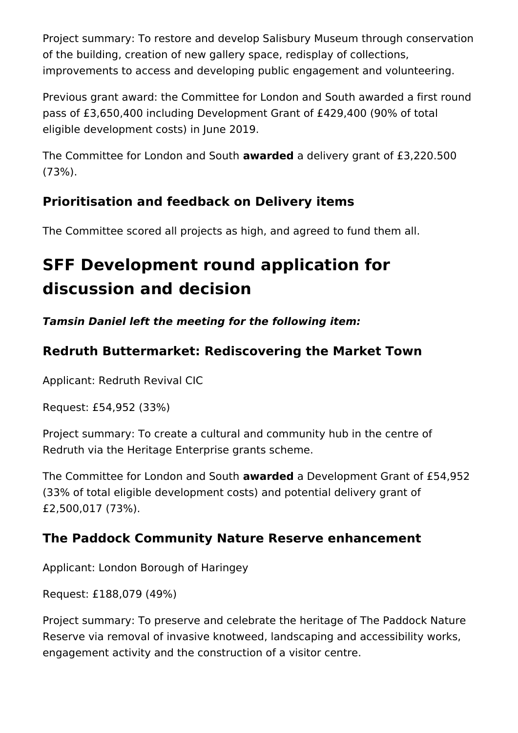Project summary: To restore and develop Salisbury Museum through conservation of the building, creation of new gallery space, redisplay of collections, improvements to access and developing public engagement and volunteering.

Previous grant award: the Committee for London and South awarded a first round pass of £3,650,400 including Development Grant of £429,400 (90% of total eligible development costs) in June 2019.

The Committee for London and South **awarded** a delivery grant of £3,220.500 (73%).

#### **Prioritisation and feedback on Delivery items**

The Committee scored all projects as high, and agreed to fund them all.

# **SFF Development round application for discussion and decision**

*Tamsin Daniel left the meeting for the following item:*

#### **Redruth Buttermarket: Rediscovering the Market Town**

Applicant: Redruth Revival CIC

Request: £54,952 (33%)

Project summary: To create a cultural and community hub in the centre of Redruth via the Heritage Enterprise grants scheme.

The Committee for London and South **awarded** a Development Grant of £54,952 (33% of total eligible development costs) and potential delivery grant of £2,500,017 (73%).

#### **The Paddock Community Nature Reserve enhancement**

Applicant: London Borough of Haringey

Request: £188,079 (49%)

Project summary: To preserve and celebrate the heritage of The Paddock Nature Reserve via removal of invasive knotweed, landscaping and accessibility works, engagement activity and the construction of a visitor centre.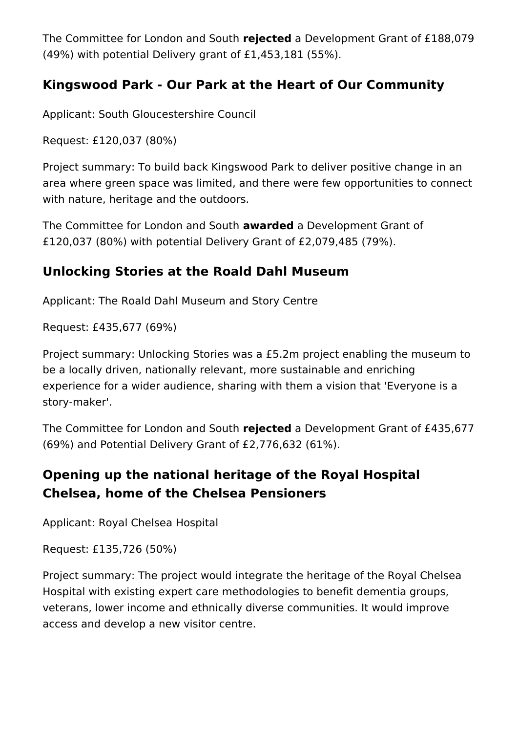The Committee for London and South **rejected** a Development Grant of £188,079 (49%) with potential Delivery grant of £1,453,181 (55%).

#### **Kingswood Park - Our Park at the Heart of Our Community**

Applicant: South Gloucestershire Council

Request: £120,037 (80%)

Project summary: To build back Kingswood Park to deliver positive change in an area where green space was limited, and there were few opportunities to connect with nature, heritage and the outdoors.

The Committee for London and South **awarded** a Development Grant of £120,037 (80%) with potential Delivery Grant of £2,079,485 (79%).

#### **Unlocking Stories at the Roald Dahl Museum**

Applicant: The Roald Dahl Museum and Story Centre

Request: £435,677 (69%)

Project summary: Unlocking Stories was a £5.2m project enabling the museum to be a locally driven, nationally relevant, more sustainable and enriching experience for a wider audience, sharing with them a vision that 'Everyone is a story-maker'.

The Committee for London and South **rejected** a Development Grant of £435,677 (69%) and Potential Delivery Grant of £2,776,632 (61%).

#### **Opening up the national heritage of the Royal Hospital Chelsea, home of the Chelsea Pensioners**

Applicant: Royal Chelsea Hospital

Request: £135,726 (50%)

Project summary: The project would integrate the heritage of the Royal Chelsea Hospital with existing expert care methodologies to benefit dementia groups, veterans, lower income and ethnically diverse communities. It would improve access and develop a new visitor centre.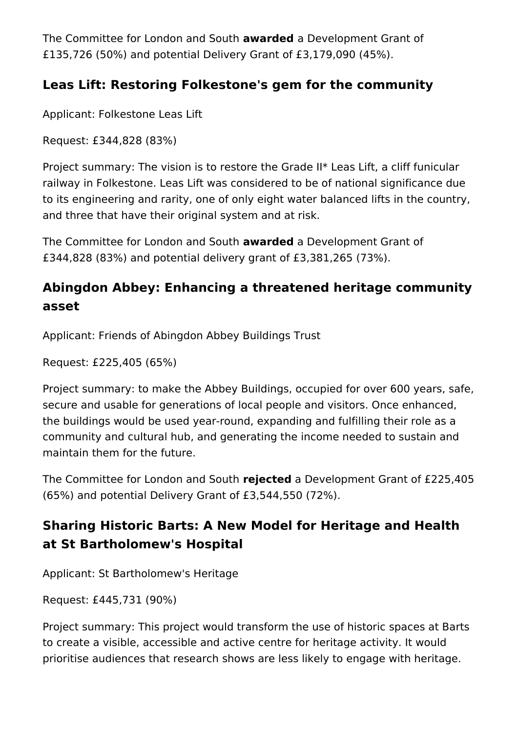The Committee for London and South **awarded** a Development Grant of £135,726 (50%) and potential Delivery Grant of £3,179,090 (45%).

#### **Leas Lift: Restoring Folkestone's gem for the community**

Applicant: Folkestone Leas Lift

Request: £344,828 (83%)

Project summary: The vision is to restore the Grade II\* Leas Lift, a cliff funicular railway in Folkestone. Leas Lift was considered to be of national significance due to its engineering and rarity, one of only eight water balanced lifts in the country, and three that have their original system and at risk.

The Committee for London and South **awarded** a Development Grant of £344,828 (83%) and potential delivery grant of £3,381,265 (73%).

#### **Abingdon Abbey: Enhancing a threatened heritage community asset**

Applicant: Friends of Abingdon Abbey Buildings Trust

Request: £225,405 (65%)

Project summary: to make the Abbey Buildings, occupied for over 600 years, safe, secure and usable for generations of local people and visitors. Once enhanced, the buildings would be used year-round, expanding and fulfilling their role as a community and cultural hub, and generating the income needed to sustain and maintain them for the future.

The Committee for London and South **rejected** a Development Grant of £225,405 (65%) and potential Delivery Grant of £3,544,550 (72%).

#### **Sharing Historic Barts: A New Model for Heritage and Health at St Bartholomew's Hospital**

Applicant: St Bartholomew's Heritage

Request: £445,731 (90%)

Project summary: This project would transform the use of historic spaces at Barts to create a visible, accessible and active centre for heritage activity. It would prioritise audiences that research shows are less likely to engage with heritage.